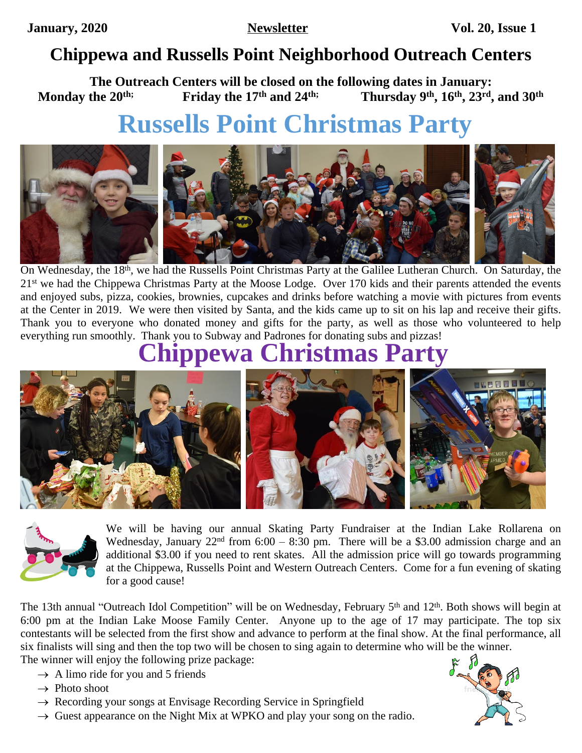## **Chippewa and Russells Point Neighborhood Outreach Centers**

**The Outreach Centers will be closed on the following dates in January:**<br>Monday the 20<sup>th;</sup> Friday the 17<sup>th</sup> and 24<sup>th;</sup> Thursday 9<sup>th</sup>, 16<sup>th</sup>, 23<sup>rd</sup> **Monday the 20th; Friday the 17th and 24th; Thursday 9th, 16th, 23rd, and 30th**

# **Russells Point Christmas Party**



On Wednesday, the 18<sup>th</sup>, we had the Russells Point Christmas Party at the Galilee Lutheran Church. On Saturday, the 21<sup>st</sup> we had the Chippewa Christmas Party at the Moose Lodge. Over 170 kids and their parents attended the events and enjoyed subs, pizza, cookies, brownies, cupcakes and drinks before watching a movie with pictures from events at the Center in 2019. We were then visited by Santa, and the kids came up to sit on his lap and receive their gifts. Thank you to everyone who donated money and gifts for the party, as well as those who volunteered to help everything run smoothly. Thank you to Subway and Padrones for donating subs and pizzas!

## **Chippewa Christmas Party**





We will be having our annual Skating Party Fundraiser at the Indian Lake Rollarena on Wednesday, January  $22<sup>nd</sup>$  from 6:00 – 8:30 pm. There will be a \$3.00 admission charge and an additional \$3.00 if you need to rent skates. All the admission price will go towards programming at the Chippewa, Russells Point and Western Outreach Centers. Come for a fun evening of skating for a good cause!

The 13th annual "Outreach Idol Competition" will be on Wednesday, February 5<sup>th</sup> and 12<sup>th</sup>. Both shows will begin at 6:00 pm at the Indian Lake Moose Family Center. Anyone up to the age of 17 may participate. The top six contestants will be selected from the first show and advance to perform at the final show. At the final performance, all six finalists will sing and then the top two will be chosen to sing again to determine who will be the winner. The winner will enjoy the following prize package:

- $\rightarrow$  A limo ride for you and 5 friends
- $\rightarrow$  Photo shoot
- $\rightarrow$  Recording your songs at Envisage Recording Service in Springfield
- $\rightarrow$  Guest appearance on the Night Mix at WPKO and play your song on the radio.

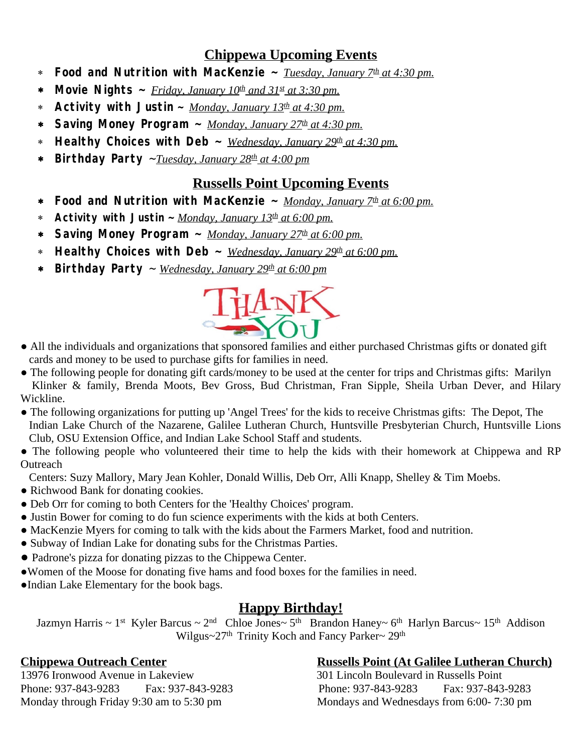#### **Chippewa Upcoming Events**

- \* **Food and Nutrition with MacKenzie ~** *Tuesday, January 7th at 4:30 pm.*
- \* **Movie Nights**  $\sim$  *Friday, January 10<sup>th</sup> and 31st at 3:30 pm.*
- \* **Activity with Justin ~** *Monday, January 13th at 4:30 pm.*
- \* **Saving Money Program ~** *Monday, January 27th at 4:30 pm.*
- \* **Healthy Choices with Deb ~** *Wednesday, January 29th at 4:30 pm.*
- \* **Birthday Party** ~*Tuesday, January 28th at 4:00 pm*

#### **Russells Point Upcoming Events**

- \* **Food and Nutrition with MacKenzie ~** *Monday, January 7th at 6:00 pm.*
- \* **Activity with Justin ~** *Monday, January 13th at 6:00 pm.*
- \* **Saving Money Program ~** *Monday, January 27th at 6:00 pm.*
- \* **Healthy Choices with Deb ~** *Wednesday, January 29th at 6:00 pm.*
- \* **Birthday Party** ~ *Wednesday, January 29th at 6:00 pm*



- All the individuals and organizations that sponsored families and either purchased Christmas gifts or donated gift cards and money to be used to purchase gifts for families in need.
- The following people for donating gift cards/money to be used at the center for trips and Christmas gifts: Marilyn Klinker & family, Brenda Moots, Bev Gross, Bud Christman, Fran Sipple, Sheila Urban Dever, and Hilary Wickline.
- The following organizations for putting up 'Angel Trees' for the kids to receive Christmas gifts: The Depot, The Indian Lake Church of the Nazarene, Galilee Lutheran Church, Huntsville Presbyterian Church, Huntsville Lions Club, OSU Extension Office, and Indian Lake School Staff and students.

• The following people who volunteered their time to help the kids with their homework at Chippewa and RP **Outreach** 

Centers: Suzy Mallory, Mary Jean Kohler, Donald Willis, Deb Orr, Alli Knapp, Shelley & Tim Moebs.

- Richwood Bank for donating cookies.
- Deb Orr for coming to both Centers for the 'Healthy Choices' program.
- Justin Bower for coming to do fun science experiments with the kids at both Centers.
- MacKenzie Myers for coming to talk with the kids about the Farmers Market, food and nutrition.
- Subway of Indian Lake for donating subs for the Christmas Parties.
- Padrone's pizza for donating pizzas to the Chippewa Center.
- ●Women of the Moose for donating five hams and food boxes for the families in need.
- ●Indian Lake Elementary for the book bags.

### **Happy Birthday!**

Jazmyn Harris ~ 1<sup>st</sup> Kyler Barcus ~ 2<sup>nd</sup> Chloe Jones~ 5<sup>th</sup> Brandon Haney~ 6<sup>th</sup> Harlyn Barcus~ 15<sup>th</sup> Addison Wilgus~27<sup>th</sup> Trinity Koch and Fancy Parker~ 29<sup>th</sup>

## **Chippewa Outreach Center**<br>
13976 Ironwood Avenue in Lakeview<br>
201 Lincoln Boulevard in Russells Point

13976 Ironwood Avenue in Lakeview 301 Lincoln Boulevard in Russells Point Phone: 937-843-9283 Fax: 937-843-9283 Phone: 937-843-9283 Fax: 937-843-9283 Monday through Friday 9:30 am to 5:30 pm Mondays and Wednesdays from 6:00-7:30 pm